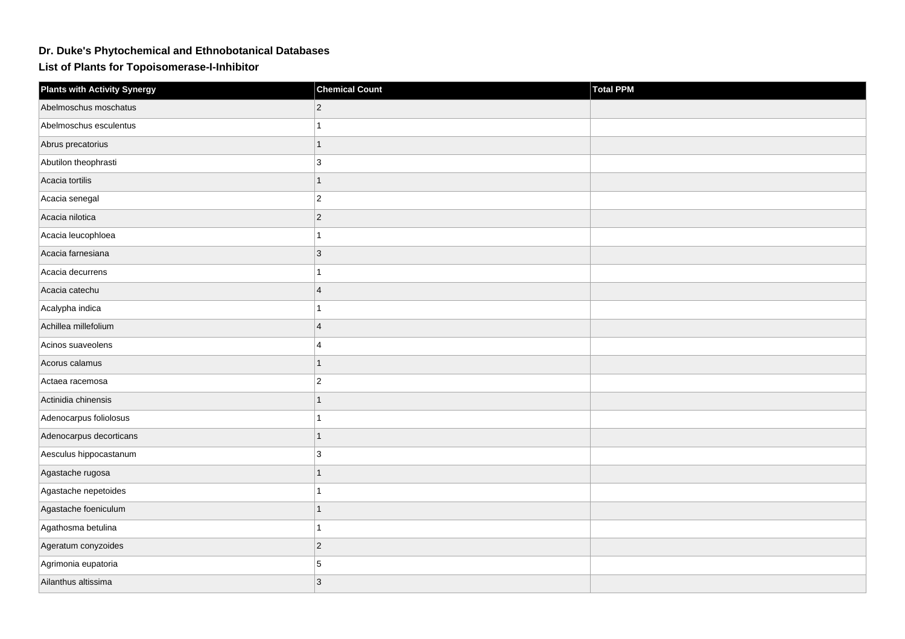## **Dr. Duke's Phytochemical and Ethnobotanical Databases**

**List of Plants for Topoisomerase-I-Inhibitor**

| <b>Plants with Activity Synergy</b> | <b>Chemical Count</b> | Total PPM |
|-------------------------------------|-----------------------|-----------|
| Abelmoschus moschatus               | 2                     |           |
| Abelmoschus esculentus              |                       |           |
| Abrus precatorius                   | 1                     |           |
| Abutilon theophrasti                | 3                     |           |
| Acacia tortilis                     | 1                     |           |
| Acacia senegal                      | $\overline{2}$        |           |
| Acacia nilotica                     | $\overline{c}$        |           |
| Acacia leucophloea                  |                       |           |
| Acacia farnesiana                   | 3                     |           |
| Acacia decurrens                    | 1                     |           |
| Acacia catechu                      | $\overline{4}$        |           |
| Acalypha indica                     |                       |           |
| Achillea millefolium                | $\overline{4}$        |           |
| Acinos suaveolens                   | 4                     |           |
| Acorus calamus                      | 1                     |           |
| Actaea racemosa                     | $\overline{c}$        |           |
| Actinidia chinensis                 | 1                     |           |
| Adenocarpus foliolosus              |                       |           |
| Adenocarpus decorticans             | $\overline{1}$        |           |
| Aesculus hippocastanum              | 3                     |           |
| Agastache rugosa                    |                       |           |
| Agastache nepetoides                | 1                     |           |
| Agastache foeniculum                | 1                     |           |
| Agathosma betulina                  |                       |           |
| Ageratum conyzoides                 | $\overline{2}$        |           |
| Agrimonia eupatoria                 | 5                     |           |
| Ailanthus altissima                 | 3                     |           |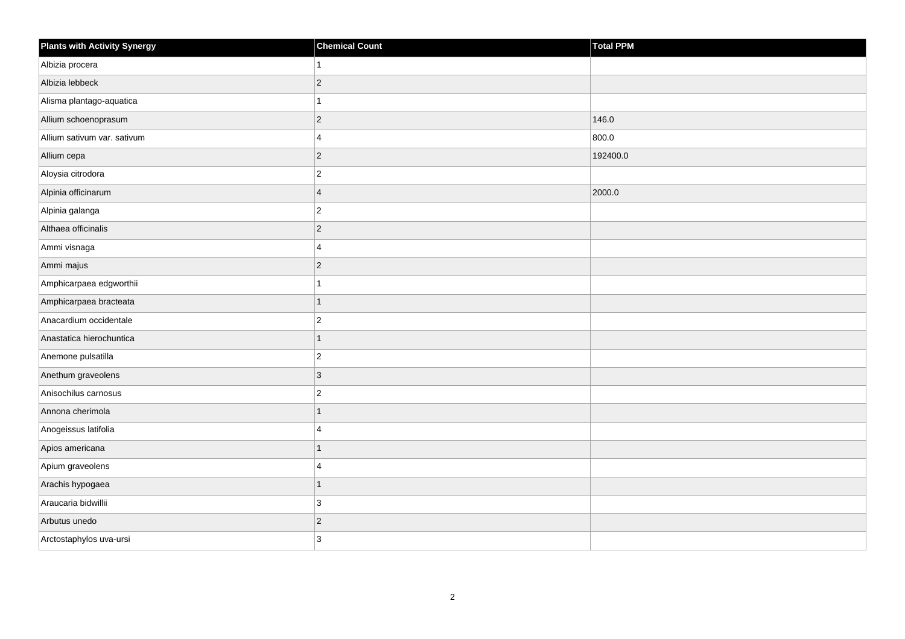| <b>Plants with Activity Synergy</b> | <b>Chemical Count</b>   | <b>Total PPM</b> |
|-------------------------------------|-------------------------|------------------|
| Albizia procera                     |                         |                  |
| Albizia lebbeck                     | $\overline{2}$          |                  |
| Alisma plantago-aquatica            |                         |                  |
| Allium schoenoprasum                | $\overline{2}$          | 146.0            |
| Allium sativum var. sativum         | $\overline{\mathbf{A}}$ | 800.0            |
| Allium cepa                         | $\overline{2}$          | 192400.0         |
| Aloysia citrodora                   | $\overline{2}$          |                  |
| Alpinia officinarum                 | $\overline{\mathbf{A}}$ | 2000.0           |
| Alpinia galanga                     | $\overline{c}$          |                  |
| Althaea officinalis                 | $\overline{2}$          |                  |
| Ammi visnaga                        | 4                       |                  |
| Ammi majus                          | $\overline{c}$          |                  |
| Amphicarpaea edgworthii             |                         |                  |
| Amphicarpaea bracteata              | 1                       |                  |
| Anacardium occidentale              | $\overline{2}$          |                  |
| Anastatica hierochuntica            | $\overline{1}$          |                  |
| Anemone pulsatilla                  | $\overline{c}$          |                  |
| Anethum graveolens                  | 3                       |                  |
| Anisochilus carnosus                | $\overline{2}$          |                  |
| Annona cherimola                    |                         |                  |
| Anogeissus latifolia                | 4                       |                  |
| Apios americana                     | $\overline{1}$          |                  |
| Apium graveolens                    | 4                       |                  |
| Arachis hypogaea                    | 1                       |                  |
| Araucaria bidwillii                 | 3                       |                  |
| Arbutus unedo                       | $\overline{c}$          |                  |
| Arctostaphylos uva-ursi             | 3                       |                  |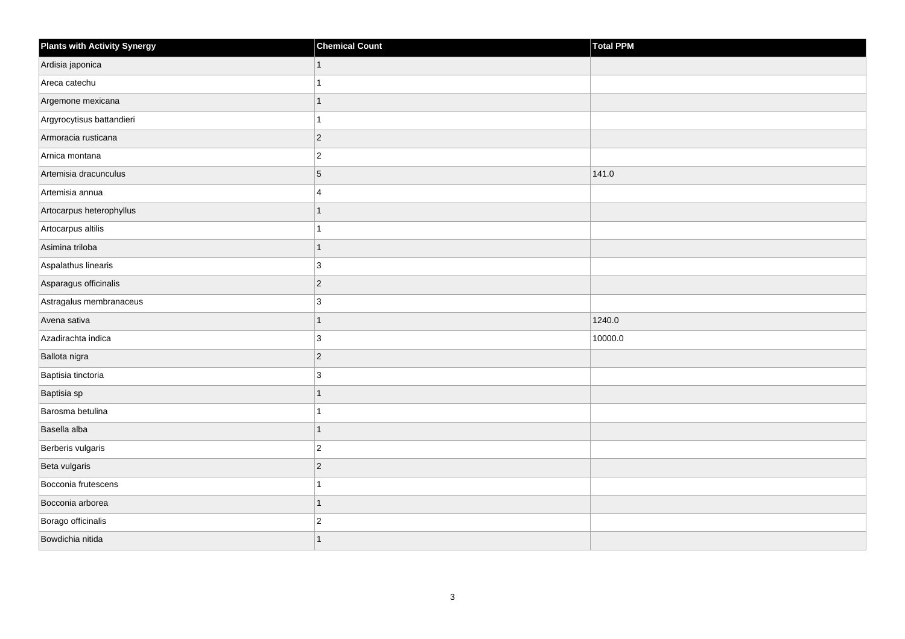| <b>Plants with Activity Synergy</b> | <b>Chemical Count</b> | Total PPM |
|-------------------------------------|-----------------------|-----------|
| Ardisia japonica                    | 1                     |           |
| Areca catechu                       |                       |           |
| Argemone mexicana                   |                       |           |
| Argyrocytisus battandieri           |                       |           |
| Armoracia rusticana                 | $ 2\rangle$           |           |
| Arnica montana                      | $\overline{c}$        |           |
| Artemisia dracunculus               | $\overline{5}$        | 141.0     |
| Artemisia annua                     | $\overline{4}$        |           |
| Artocarpus heterophyllus            |                       |           |
| Artocarpus altilis                  |                       |           |
| Asimina triloba                     | 1                     |           |
| Aspalathus linearis                 | 3                     |           |
| Asparagus officinalis               | $ 2\rangle$           |           |
| Astragalus membranaceus             | 3                     |           |
| Avena sativa                        |                       | 1240.0    |
| Azadirachta indica                  | 3                     | 10000.0   |
| Ballota nigra                       | $ 2\rangle$           |           |
| Baptisia tinctoria                  | 3                     |           |
| Baptisia sp                         |                       |           |
| Barosma betulina                    |                       |           |
| Basella alba                        |                       |           |
| Berberis vulgaris                   | $\vert$ 2             |           |
| Beta vulgaris                       | $ 2\rangle$           |           |
| Bocconia frutescens                 |                       |           |
| Bocconia arborea                    |                       |           |
| Borago officinalis                  | $\overline{c}$        |           |
| Bowdichia nitida                    |                       |           |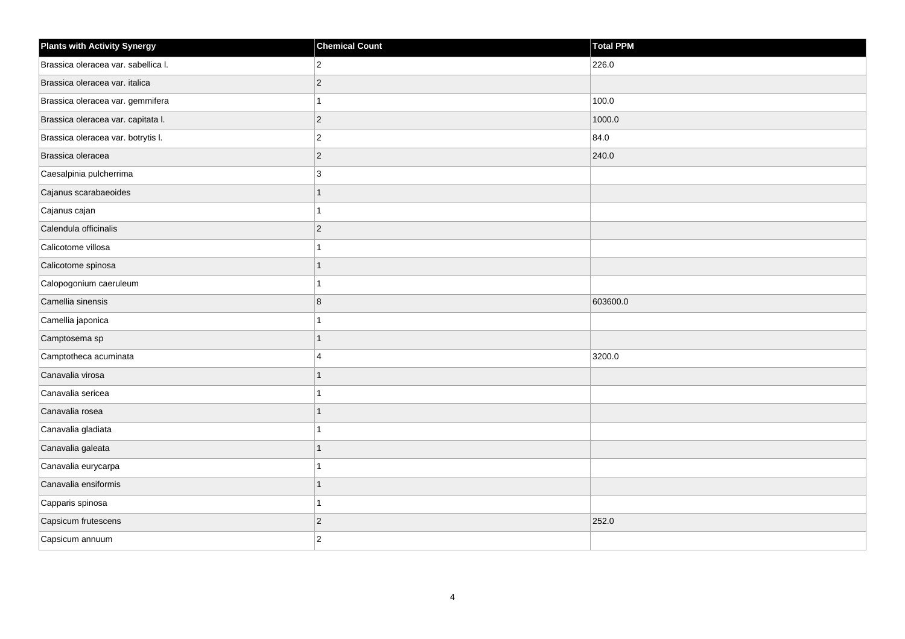| <b>Plants with Activity Synergy</b> | <b>Chemical Count</b> | <b>Total PPM</b> |
|-------------------------------------|-----------------------|------------------|
| Brassica oleracea var. sabellica I. | $\overline{2}$        | 226.0            |
| Brassica oleracea var. italica      | $\overline{2}$        |                  |
| Brassica oleracea var. gemmifera    |                       | 100.0            |
| Brassica oleracea var. capitata I.  | $\overline{2}$        | 1000.0           |
| Brassica oleracea var. botrytis I.  | $\overline{2}$        | 84.0             |
| Brassica oleracea                   | $\overline{2}$        | 240.0            |
| Caesalpinia pulcherrima             | 3                     |                  |
| Cajanus scarabaeoides               |                       |                  |
| Cajanus cajan                       |                       |                  |
| Calendula officinalis               | $\overline{2}$        |                  |
| Calicotome villosa                  |                       |                  |
| Calicotome spinosa                  |                       |                  |
| Calopogonium caeruleum              |                       |                  |
| Camellia sinensis                   | 8                     | 603600.0         |
| Camellia japonica                   |                       |                  |
| Camptosema sp                       |                       |                  |
| Camptotheca acuminata               | $\boldsymbol{\Delta}$ | 3200.0           |
| Canavalia virosa                    |                       |                  |
| Canavalia sericea                   |                       |                  |
| Canavalia rosea                     |                       |                  |
| Canavalia gladiata                  |                       |                  |
| Canavalia galeata                   |                       |                  |
| Canavalia eurycarpa                 |                       |                  |
| Canavalia ensiformis                |                       |                  |
| Capparis spinosa                    |                       |                  |
| Capsicum frutescens                 | $\overline{2}$        | 252.0            |
| Capsicum annuum                     | $\overline{2}$        |                  |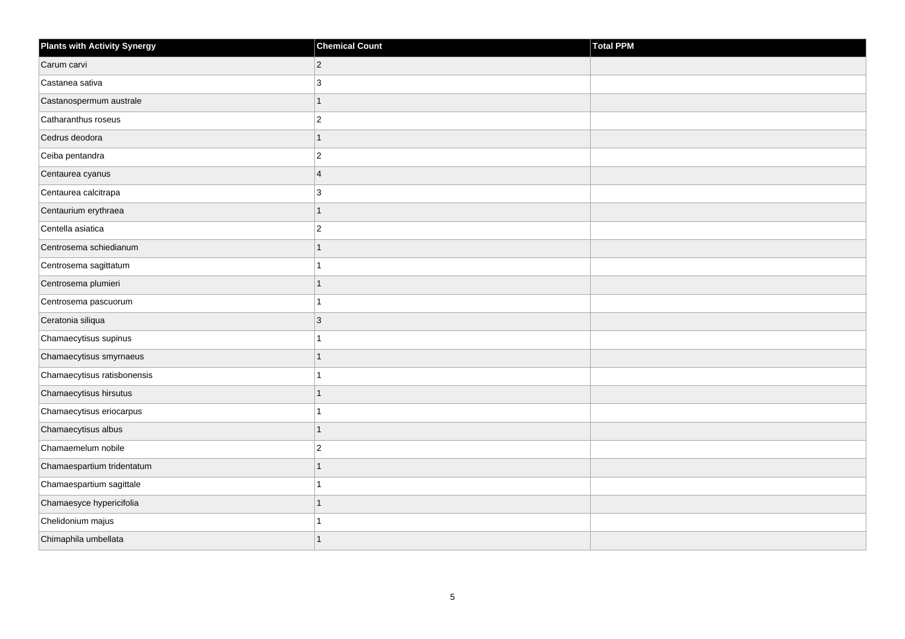| <b>Plants with Activity Synergy</b> | <b>Chemical Count</b> | <b>Total PPM</b> |
|-------------------------------------|-----------------------|------------------|
| Carum carvi                         | $\overline{2}$        |                  |
| Castanea sativa                     | 3                     |                  |
| Castanospermum australe             | 1                     |                  |
| Catharanthus roseus                 | $\overline{2}$        |                  |
| Cedrus deodora                      |                       |                  |
| Ceiba pentandra                     | $\overline{2}$        |                  |
| Centaurea cyanus                    | $\overline{4}$        |                  |
| Centaurea calcitrapa                | 3                     |                  |
| Centaurium erythraea                | 1                     |                  |
| Centella asiatica                   | $\overline{a}$        |                  |
| Centrosema schiedianum              |                       |                  |
| Centrosema sagittatum               |                       |                  |
| Centrosema plumieri                 | 1                     |                  |
| Centrosema pascuorum                |                       |                  |
| Ceratonia siliqua                   | 3                     |                  |
| Chamaecytisus supinus               |                       |                  |
| Chamaecytisus smyrnaeus             |                       |                  |
| Chamaecytisus ratisbonensis         |                       |                  |
| Chamaecytisus hirsutus              | 1                     |                  |
| Chamaecytisus eriocarpus            |                       |                  |
| Chamaecytisus albus                 |                       |                  |
| Chamaemelum nobile                  | $\overline{2}$        |                  |
| Chamaespartium tridentatum          |                       |                  |
| Chamaespartium sagittale            |                       |                  |
| Chamaesyce hypericifolia            | 1                     |                  |
| Chelidonium majus                   |                       |                  |
| Chimaphila umbellata                |                       |                  |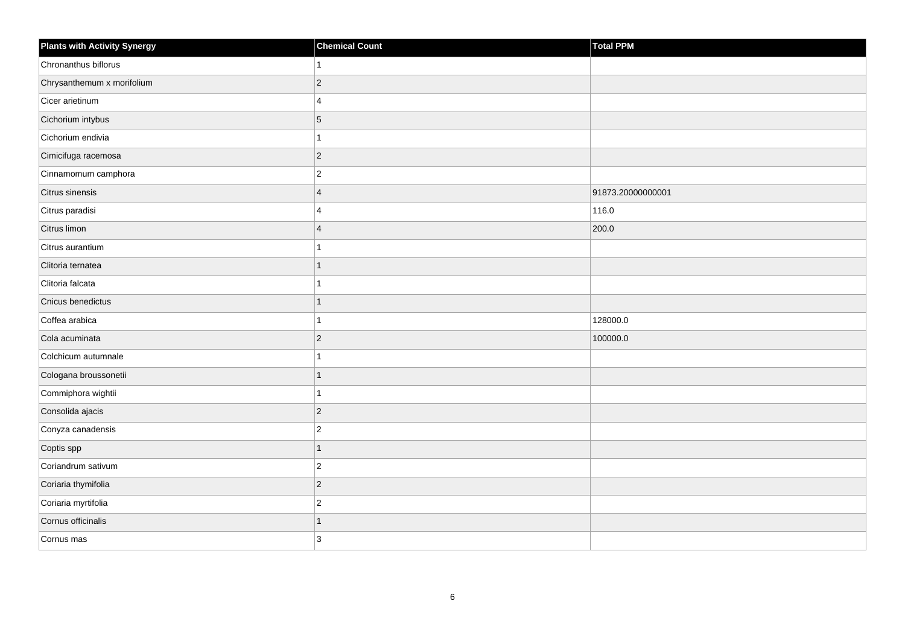| <b>Plants with Activity Synergy</b> | <b>Chemical Count</b>   | Total PPM         |
|-------------------------------------|-------------------------|-------------------|
| Chronanthus biflorus                |                         |                   |
| Chrysanthemum x morifolium          | $\overline{2}$          |                   |
| Cicer arietinum                     | 4                       |                   |
| Cichorium intybus                   | 5                       |                   |
| Cichorium endivia                   |                         |                   |
| Cimicifuga racemosa                 | $\overline{2}$          |                   |
| Cinnamomum camphora                 | $\overline{2}$          |                   |
| Citrus sinensis                     | $\overline{4}$          | 91873.20000000001 |
| Citrus paradisi                     | 4                       | 116.0             |
| Citrus limon                        | $\overline{\mathbf{4}}$ | 200.0             |
| Citrus aurantium                    |                         |                   |
| Clitoria ternatea                   |                         |                   |
| Clitoria falcata                    |                         |                   |
| Cnicus benedictus                   | 1                       |                   |
| Coffea arabica                      |                         | 128000.0          |
| Cola acuminata                      | $\overline{2}$          | 100000.0          |
| Colchicum autumnale                 |                         |                   |
| Cologana broussonetii               |                         |                   |
| Commiphora wightii                  | 1                       |                   |
| Consolida ajacis                    | $\overline{2}$          |                   |
| Conyza canadensis                   | $\overline{2}$          |                   |
| Coptis spp                          | 1                       |                   |
| Coriandrum sativum                  | $\overline{2}$          |                   |
| Coriaria thymifolia                 | $\overline{2}$          |                   |
| Coriaria myrtifolia                 | $\overline{c}$          |                   |
| Cornus officinalis                  | 1                       |                   |
| Cornus mas                          | 3                       |                   |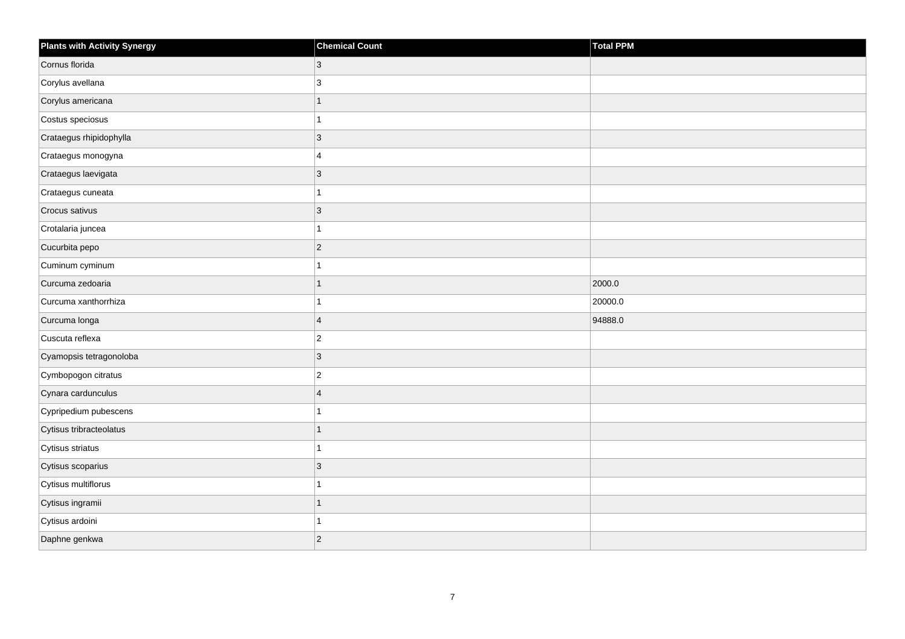| <b>Plants with Activity Synergy</b> | <b>Chemical Count</b> | Total PPM |
|-------------------------------------|-----------------------|-----------|
| Cornus florida                      | 3                     |           |
| Corylus avellana                    | 3                     |           |
| Corylus americana                   |                       |           |
| Costus speciosus                    |                       |           |
| Crataegus rhipidophylla             | 3                     |           |
| Crataegus monogyna                  | 4                     |           |
| Crataegus laevigata                 | 3                     |           |
| Crataegus cuneata                   |                       |           |
| Crocus sativus                      | 3                     |           |
| Crotalaria juncea                   |                       |           |
| Cucurbita pepo                      | $\overline{2}$        |           |
| Cuminum cyminum                     |                       |           |
| Curcuma zedoaria                    | 1                     | 2000.0    |
| Curcuma xanthorrhiza                |                       | 20000.0   |
| Curcuma longa                       | $\overline{4}$        | 94888.0   |
| Cuscuta reflexa                     | $\overline{c}$        |           |
| Cyamopsis tetragonoloba             | 3                     |           |
| Cymbopogon citratus                 | $\overline{c}$        |           |
| Cynara cardunculus                  | $\overline{4}$        |           |
| Cypripedium pubescens               |                       |           |
| Cytisus tribracteolatus             |                       |           |
| Cytisus striatus                    | 1                     |           |
| Cytisus scoparius                   | $\overline{3}$        |           |
| Cytisus multiflorus                 |                       |           |
| Cytisus ingramii                    | 1                     |           |
| Cytisus ardoini                     |                       |           |
| Daphne genkwa                       | $\overline{2}$        |           |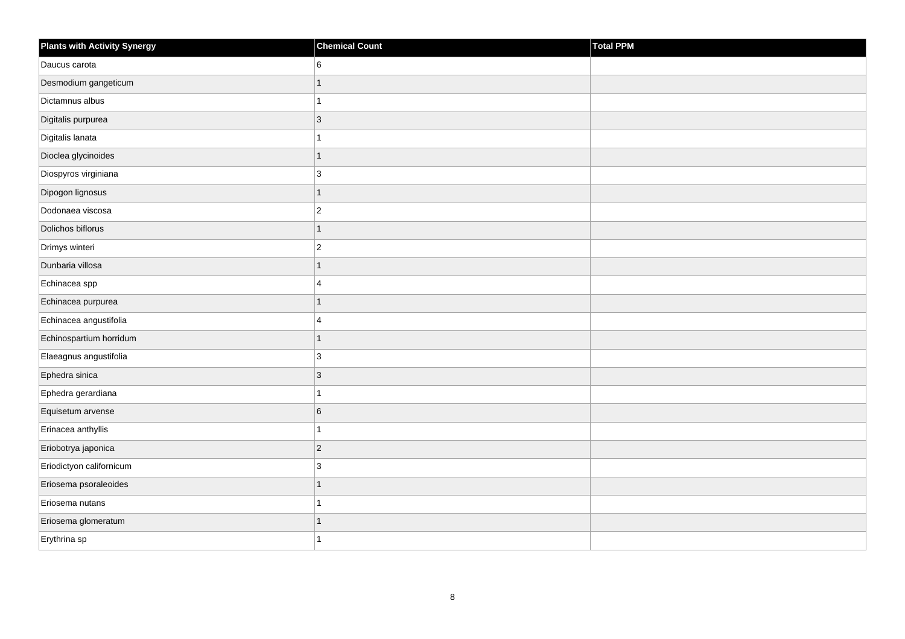| <b>Plants with Activity Synergy</b> | <b>Chemical Count</b> | Total PPM |
|-------------------------------------|-----------------------|-----------|
| Daucus carota                       | 6                     |           |
| Desmodium gangeticum                | $\overline{1}$        |           |
| Dictamnus albus                     | 1                     |           |
| Digitalis purpurea                  | $\overline{3}$        |           |
| Digitalis lanata                    | 1                     |           |
| Dioclea glycinoides                 | $\overline{1}$        |           |
| Diospyros virginiana                | 3                     |           |
| Dipogon lignosus                    | $\overline{1}$        |           |
| Dodonaea viscosa                    | $\overline{c}$        |           |
| Dolichos biflorus                   | $\overline{1}$        |           |
| Drimys winteri                      | $\overline{c}$        |           |
| Dunbaria villosa                    | $\overline{1}$        |           |
| Echinacea spp                       | 4                     |           |
| Echinacea purpurea                  | $\overline{1}$        |           |
| Echinacea angustifolia              | 4                     |           |
| Echinospartium horridum             | $\overline{1}$        |           |
| Elaeagnus angustifolia              | 3                     |           |
| Ephedra sinica                      | $\overline{3}$        |           |
| Ephedra gerardiana                  | $\overline{1}$        |           |
| Equisetum arvense                   | 6                     |           |
| Erinacea anthyllis                  | 1                     |           |
| Eriobotrya japonica                 | $\overline{c}$        |           |
| Eriodictyon californicum            | 3                     |           |
| Eriosema psoraleoides               | $\overline{1}$        |           |
| Eriosema nutans                     | 1                     |           |
| Eriosema glomeratum                 | $\overline{1}$        |           |
| Erythrina sp                        | 1                     |           |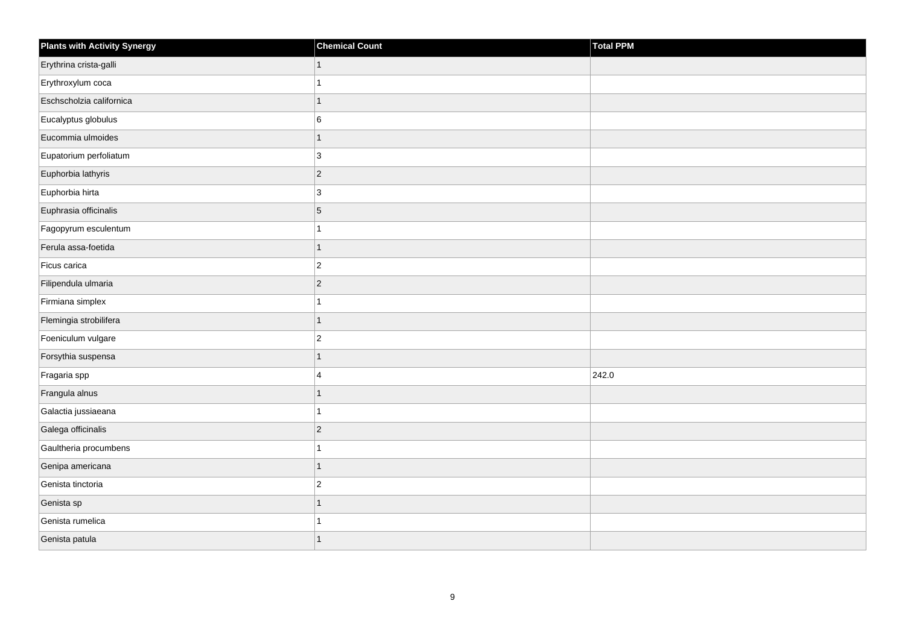| <b>Plants with Activity Synergy</b> | <b>Chemical Count</b> | Total PPM |
|-------------------------------------|-----------------------|-----------|
| Erythrina crista-galli              | 1                     |           |
| Erythroxylum coca                   |                       |           |
| Eschscholzia californica            | 1                     |           |
| Eucalyptus globulus                 | 6                     |           |
| Eucommia ulmoides                   | 1                     |           |
| Eupatorium perfoliatum              | 3                     |           |
| Euphorbia lathyris                  | $\overline{2}$        |           |
| Euphorbia hirta                     | 3                     |           |
| Euphrasia officinalis               | 5                     |           |
| Fagopyrum esculentum                |                       |           |
| Ferula assa-foetida                 | 1                     |           |
| Ficus carica                        | $\overline{c}$        |           |
| Filipendula ulmaria                 | $\overline{2}$        |           |
| Firmiana simplex                    |                       |           |
| Flemingia strobilifera              | 1                     |           |
| Foeniculum vulgare                  | $\overline{c}$        |           |
| Forsythia suspensa                  | 1                     |           |
| Fragaria spp                        | 4                     | 242.0     |
| Frangula alnus                      | $\overline{1}$        |           |
| Galactia jussiaeana                 |                       |           |
| Galega officinalis                  | $\overline{2}$        |           |
| Gaultheria procumbens               | 1                     |           |
| Genipa americana                    | 1                     |           |
| Genista tinctoria                   | $\overline{2}$        |           |
| Genista sp                          | $\overline{1}$        |           |
| Genista rumelica                    |                       |           |
| Genista patula                      |                       |           |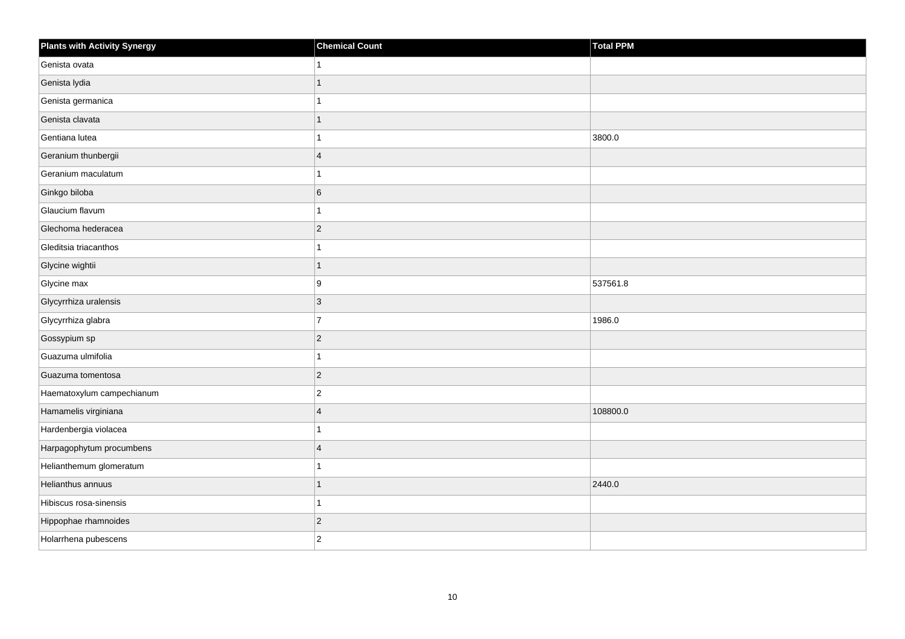| <b>Plants with Activity Synergy</b> | <b>Chemical Count</b> | Total PPM |
|-------------------------------------|-----------------------|-----------|
| Genista ovata                       | 1                     |           |
| Genista lydia                       | 1                     |           |
| Genista germanica                   | 1                     |           |
| Genista clavata                     | $\mathbf{1}$          |           |
| Gentiana lutea                      | 1                     | 3800.0    |
| Geranium thunbergii                 | $\overline{4}$        |           |
| Geranium maculatum                  | $\mathbf{1}$          |           |
| Ginkgo biloba                       | 6                     |           |
| Glaucium flavum                     | 1                     |           |
| Glechoma hederacea                  | $ 2\rangle$           |           |
| Gleditsia triacanthos               | 1                     |           |
| Glycine wightii                     | 1                     |           |
| Glycine max                         | 9                     | 537561.8  |
| Glycyrrhiza uralensis               | $ 3\rangle$           |           |
| Glycyrrhiza glabra                  | $\overline{7}$        | 1986.0    |
| Gossypium sp                        | $ 2\rangle$           |           |
| Guazuma ulmifolia                   | 1                     |           |
| Guazuma tomentosa                   | $ 2\rangle$           |           |
| Haematoxylum campechianum           | $ 2\rangle$           |           |
| Hamamelis virginiana                | $\overline{4}$        | 108800.0  |
| Hardenbergia violacea               | 1                     |           |
| Harpagophytum procumbens            | 4                     |           |
| Helianthemum glomeratum             |                       |           |
| Helianthus annuus                   | 1                     | 2440.0    |
| Hibiscus rosa-sinensis              | $\mathbf{1}$          |           |
| Hippophae rhamnoides                | $ 2\rangle$           |           |
| Holarrhena pubescens                | $ 2\rangle$           |           |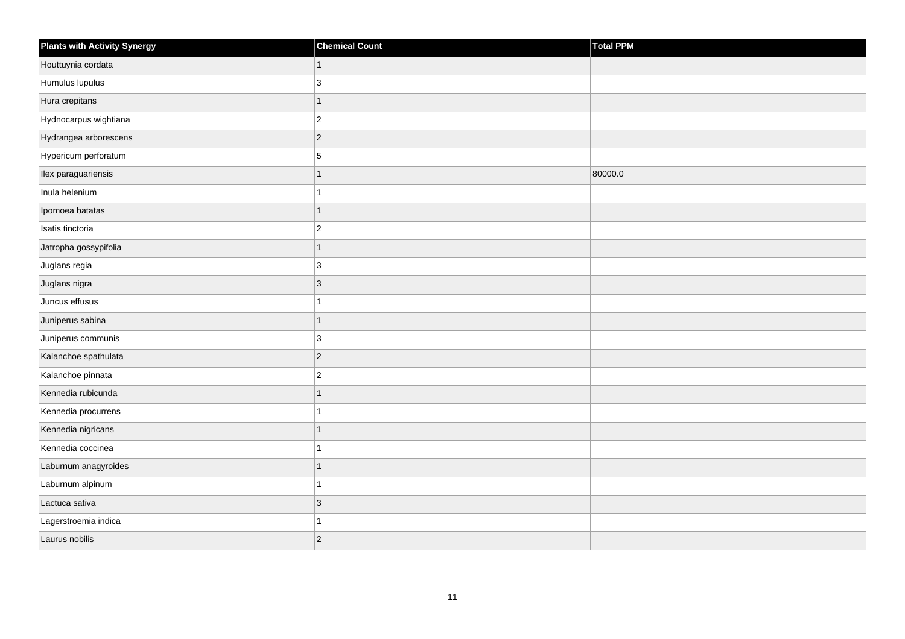| Plants with Activity Synergy | <b>Chemical Count</b> | Total PPM |
|------------------------------|-----------------------|-----------|
| Houttuynia cordata           | $\mathbf{1}$          |           |
| Humulus lupulus              | 3                     |           |
| Hura crepitans               | $\mathbf{1}$          |           |
| Hydnocarpus wightiana        | $ 2\rangle$           |           |
| Hydrangea arborescens        | $ 2\rangle$           |           |
| Hypericum perforatum         | $\overline{5}$        |           |
| Ilex paraguariensis          | 1                     | 80000.0   |
| Inula helenium               | 1                     |           |
| Ipomoea batatas              | $\overline{1}$        |           |
| Isatis tinctoria             | $ 2\rangle$           |           |
| Jatropha gossypifolia        | $\mathbf{1}$          |           |
| Juglans regia                | 3                     |           |
| Juglans nigra                | $ 3\rangle$           |           |
| Juncus effusus               | $\mathbf{1}$          |           |
| Juniperus sabina             | $\mathbf{1}$          |           |
| Juniperus communis           | 3                     |           |
| Kalanchoe spathulata         | $ 2\rangle$           |           |
| Kalanchoe pinnata            | $ 2\rangle$           |           |
| Kennedia rubicunda           | $\overline{1}$        |           |
| Kennedia procurrens          | 1                     |           |
| Kennedia nigricans           | 1                     |           |
| Kennedia coccinea            | $\mathbf{1}$          |           |
| Laburnum anagyroides         | $\mathbf{1}$          |           |
| Laburnum alpinum             | 1                     |           |
| Lactuca sativa               | 3                     |           |
| Lagerstroemia indica         | 1                     |           |
| Laurus nobilis               | $ 2\rangle$           |           |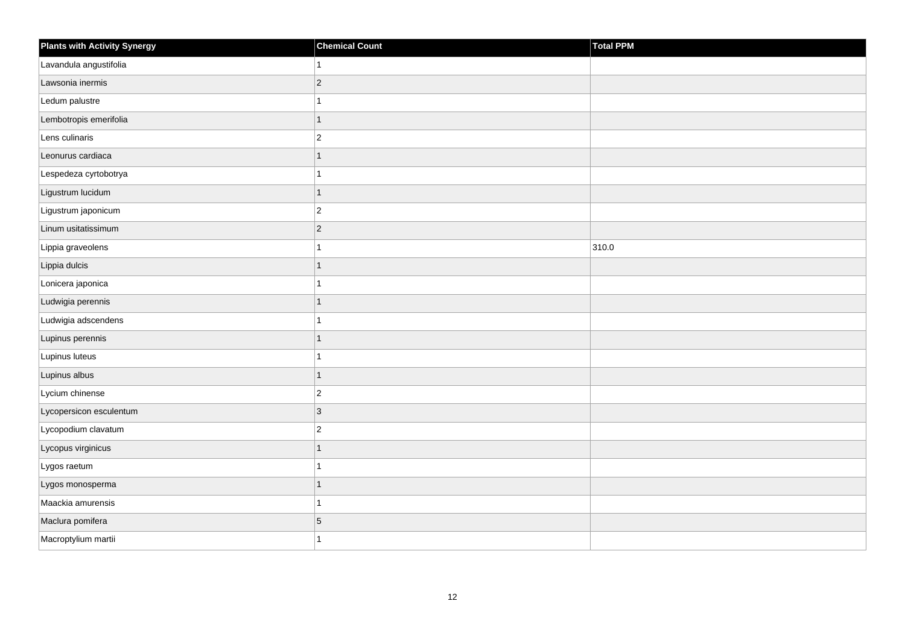| <b>Plants with Activity Synergy</b> | <b>Chemical Count</b> | Total PPM |
|-------------------------------------|-----------------------|-----------|
| Lavandula angustifolia              | 1                     |           |
| Lawsonia inermis                    | $ 2\rangle$           |           |
| Ledum palustre                      | $\mathbf{1}$          |           |
| Lembotropis emerifolia              | $\overline{1}$        |           |
| Lens culinaris                      | $ 2\rangle$           |           |
| Leonurus cardiaca                   | 1                     |           |
| Lespedeza cyrtobotrya               | $\mathbf{1}$          |           |
| Ligustrum lucidum                   | $\mathbf{1}$          |           |
| Ligustrum japonicum                 | $\overline{2}$        |           |
| Linum usitatissimum                 | $ 2\rangle$           |           |
| Lippia graveolens                   | $\mathbf{1}$          | 310.0     |
| Lippia dulcis                       | $\mathbf{1}$          |           |
| Lonicera japonica                   | $\mathbf{1}$          |           |
| Ludwigia perennis                   | $\mathbf{1}$          |           |
| Ludwigia adscendens                 | 1                     |           |
| Lupinus perennis                    | $\mathbf{1}$          |           |
| Lupinus luteus                      | 1                     |           |
| Lupinus albus                       | 1                     |           |
| Lycium chinense                     | $ 2\rangle$           |           |
| Lycopersicon esculentum             | 3                     |           |
| Lycopodium clavatum                 | $ 2\rangle$           |           |
| Lycopus virginicus                  | $\mathbf{1}$          |           |
| Lygos raetum                        | 1                     |           |
| Lygos monosperma                    | $\mathbf{1}$          |           |
| Maackia amurensis                   | $\mathbf{1}$          |           |
| Maclura pomifera                    | $\,$ 5 $\,$           |           |
| Macroptylium martii                 | 1                     |           |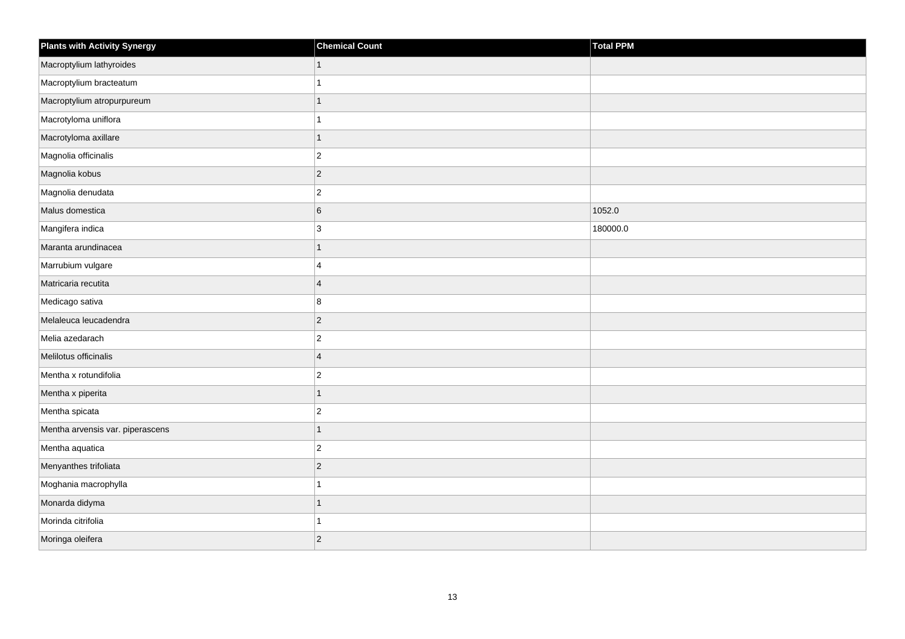| <b>Plants with Activity Synergy</b> | <b>Chemical Count</b>   | Total PPM |
|-------------------------------------|-------------------------|-----------|
| Macroptylium lathyroides            | $\mathbf{1}$            |           |
| Macroptylium bracteatum             |                         |           |
| Macroptylium atropurpureum          | $\overline{1}$          |           |
| Macrotyloma uniflora                | $\overline{1}$          |           |
| Macrotyloma axillare                | $\mathbf{1}$            |           |
| Magnolia officinalis                | $\overline{c}$          |           |
| Magnolia kobus                      | $\overline{c}$          |           |
| Magnolia denudata                   | $\overline{\mathbf{c}}$ |           |
| Malus domestica                     | 6                       | 1052.0    |
| Mangifera indica                    | 3                       | 180000.0  |
| Maranta arundinacea                 | $\overline{1}$          |           |
| Marrubium vulgare                   | 4                       |           |
| Matricaria recutita                 | $\overline{4}$          |           |
| Medicago sativa                     | 8                       |           |
| Melaleuca leucadendra               | $\overline{c}$          |           |
| Melia azedarach                     | $\overline{c}$          |           |
| Melilotus officinalis               | $\overline{4}$          |           |
| Mentha x rotundifolia               | $\overline{2}$          |           |
| Mentha x piperita                   | $\overline{1}$          |           |
| Mentha spicata                      | $\overline{\mathbf{c}}$ |           |
| Mentha arvensis var. piperascens    | $\overline{1}$          |           |
| Mentha aquatica                     | $\overline{c}$          |           |
| Menyanthes trifoliata               | $\overline{c}$          |           |
| Moghania macrophylla                | 1                       |           |
| Monarda didyma                      | $\overline{1}$          |           |
| Morinda citrifolia                  | 1                       |           |
| Moringa oleifera                    | $\overline{2}$          |           |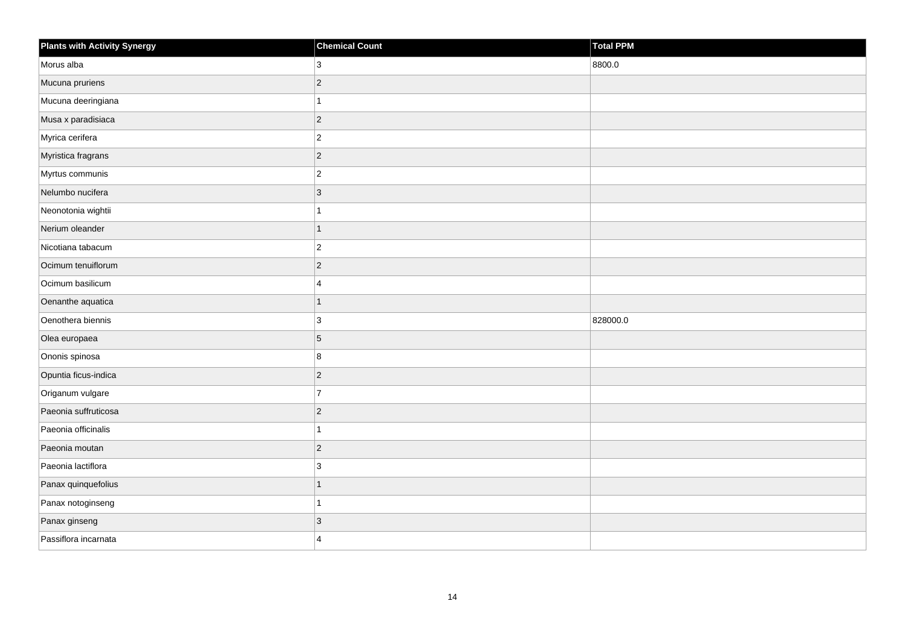| <b>Plants with Activity Synergy</b> | <b>Chemical Count</b> | <b>Total PPM</b> |
|-------------------------------------|-----------------------|------------------|
| Morus alba                          | 3                     | 8800.0           |
| Mucuna pruriens                     | $\overline{2}$        |                  |
| Mucuna deeringiana                  | 1                     |                  |
| Musa x paradisiaca                  | $\overline{2}$        |                  |
| Myrica cerifera                     | $\overline{c}$        |                  |
| Myristica fragrans                  | $\overline{c}$        |                  |
| Myrtus communis                     | $\overline{2}$        |                  |
| Nelumbo nucifera                    | 3                     |                  |
| Neonotonia wightii                  |                       |                  |
| Nerium oleander                     | 1                     |                  |
| Nicotiana tabacum                   | $\overline{2}$        |                  |
| Ocimum tenuiflorum                  | $\overline{2}$        |                  |
| Ocimum basilicum                    | 4                     |                  |
| Oenanthe aquatica                   | $\overline{1}$        |                  |
| Oenothera biennis                   | 3                     | 828000.0         |
| Olea europaea                       | 5                     |                  |
| Ononis spinosa                      | 8                     |                  |
| Opuntia ficus-indica                | $\overline{2}$        |                  |
| Origanum vulgare                    | $\overline{7}$        |                  |
| Paeonia suffruticosa                | $\overline{c}$        |                  |
| Paeonia officinalis                 |                       |                  |
| Paeonia moutan                      | $\overline{2}$        |                  |
| Paeonia lactiflora                  | 3                     |                  |
| Panax quinquefolius                 | 1                     |                  |
| Panax notoginseng                   | 1                     |                  |
| Panax ginseng                       | 3                     |                  |
| Passiflora incarnata                | $\overline{4}$        |                  |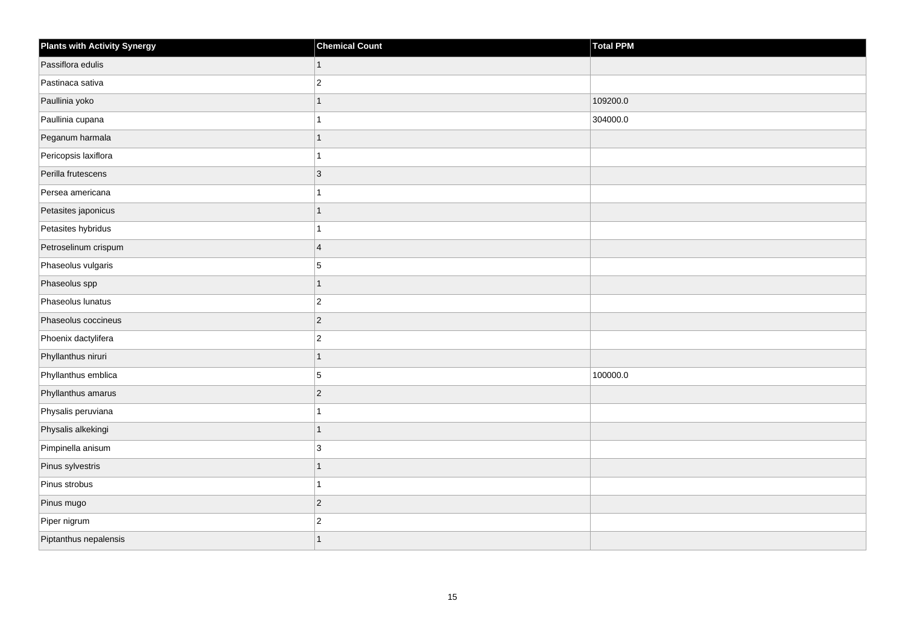| <b>Plants with Activity Synergy</b> | <b>Chemical Count</b> | Total PPM |
|-------------------------------------|-----------------------|-----------|
| Passiflora edulis                   | 1                     |           |
| Pastinaca sativa                    | $\overline{2}$        |           |
| Paullinia yoko                      |                       | 109200.0  |
| Paullinia cupana                    |                       | 304000.0  |
| Peganum harmala                     | 1                     |           |
| Pericopsis laxiflora                |                       |           |
| Perilla frutescens                  | $\overline{3}$        |           |
| Persea americana                    |                       |           |
| Petasites japonicus                 | 1                     |           |
| Petasites hybridus                  |                       |           |
| Petroselinum crispum                | $\overline{4}$        |           |
| Phaseolus vulgaris                  | 5                     |           |
| Phaseolus spp                       | 1                     |           |
| Phaseolus lunatus                   | $\overline{2}$        |           |
| Phaseolus coccineus                 | $\vert$ 2             |           |
| Phoenix dactylifera                 | $\overline{c}$        |           |
| Phyllanthus niruri                  | 1                     |           |
| Phyllanthus emblica                 | 5                     | 100000.0  |
| Phyllanthus amarus                  | $\overline{2}$        |           |
| Physalis peruviana                  |                       |           |
| Physalis alkekingi                  | 1                     |           |
| Pimpinella anisum                   | $\mathbf{3}$          |           |
| Pinus sylvestris                    | 1                     |           |
| Pinus strobus                       |                       |           |
| Pinus mugo                          | $\vert$ 2             |           |
| Piper nigrum                        | $\overline{c}$        |           |
| Piptanthus nepalensis               |                       |           |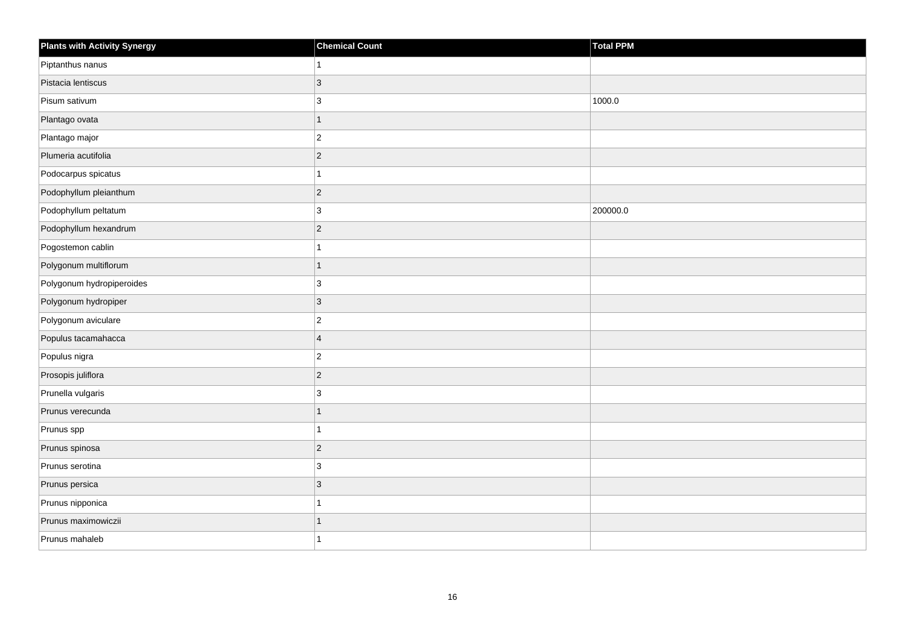| <b>Plants with Activity Synergy</b> | <b>Chemical Count</b> | Total PPM |
|-------------------------------------|-----------------------|-----------|
| Piptanthus nanus                    |                       |           |
| Pistacia lentiscus                  | 3                     |           |
| Pisum sativum                       | 3                     | 1000.0    |
| Plantago ovata                      | $\overline{1}$        |           |
| Plantago major                      | $\overline{2}$        |           |
| Plumeria acutifolia                 | $\overline{2}$        |           |
| Podocarpus spicatus                 |                       |           |
| Podophyllum pleianthum              | $\overline{2}$        |           |
| Podophyllum peltatum                | $\mathbf{3}$          | 200000.0  |
| Podophyllum hexandrum               | $\overline{2}$        |           |
| Pogostemon cablin                   |                       |           |
| Polygonum multiflorum               | 1                     |           |
| Polygonum hydropiperoides           | $\mathbf{3}$          |           |
| Polygonum hydropiper                | 3                     |           |
| Polygonum aviculare                 | $\overline{c}$        |           |
| Populus tacamahacca                 | $\overline{4}$        |           |
| Populus nigra                       | $\overline{c}$        |           |
| Prosopis juliflora                  | $\vert$ 2             |           |
| Prunella vulgaris                   | 3                     |           |
| Prunus verecunda                    | 1                     |           |
| Prunus spp                          |                       |           |
| Prunus spinosa                      | $\overline{c}$        |           |
| Prunus serotina                     | 3                     |           |
| Prunus persica                      | 3                     |           |
| Prunus nipponica                    | 1                     |           |
| Prunus maximowiczii                 | 1                     |           |
| Prunus mahaleb                      |                       |           |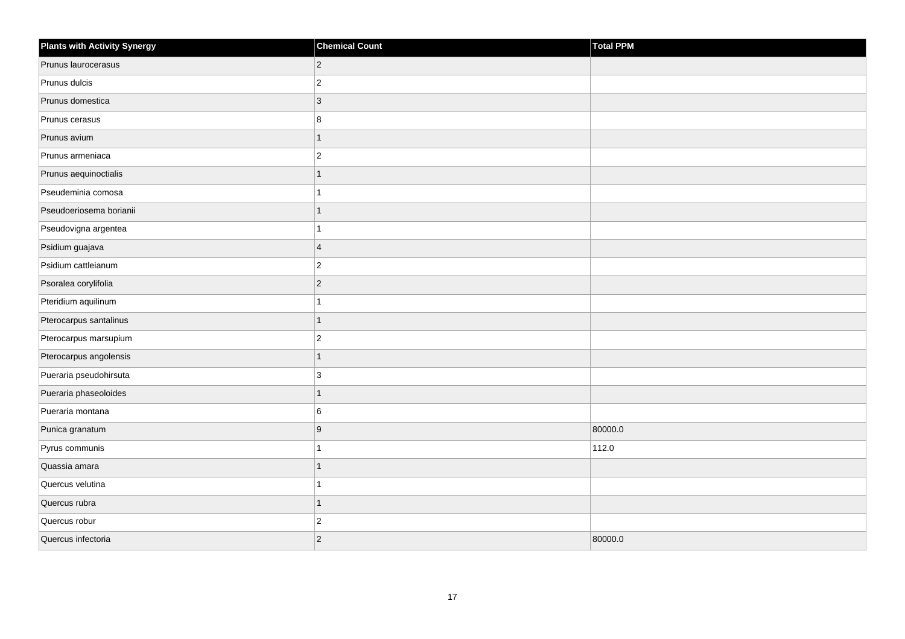| <b>Plants with Activity Synergy</b> | <b>Chemical Count</b> | Total PPM |
|-------------------------------------|-----------------------|-----------|
| Prunus laurocerasus                 | $\overline{c}$        |           |
| Prunus dulcis                       | $\overline{2}$        |           |
| Prunus domestica                    | $\mathbf{3}$          |           |
| Prunus cerasus                      | 8                     |           |
| Prunus avium                        | 1                     |           |
| Prunus armeniaca                    | $\overline{c}$        |           |
| Prunus aequinoctialis               | $\overline{1}$        |           |
| Pseudeminia comosa                  | 1                     |           |
| Pseudoeriosema borianii             | 1                     |           |
| Pseudovigna argentea                |                       |           |
| Psidium guajava                     | $\overline{4}$        |           |
| Psidium cattleianum                 | $\overline{c}$        |           |
| Psoralea corylifolia                | $\overline{c}$        |           |
| Pteridium aquilinum                 | 1                     |           |
| Pterocarpus santalinus              | $\overline{1}$        |           |
| Pterocarpus marsupium               | $\overline{2}$        |           |
| Pterocarpus angolensis              | $\overline{1}$        |           |
| Pueraria pseudohirsuta              | 3                     |           |
| Pueraria phaseoloides               | $\overline{1}$        |           |
| Pueraria montana                    | 6                     |           |
| Punica granatum                     | 9                     | 80000.0   |
| Pyrus communis                      | $\overline{ }$        | 112.0     |
| Quassia amara                       | $\overline{1}$        |           |
| Quercus velutina                    | 1                     |           |
| Quercus rubra                       | $\overline{1}$        |           |
| Quercus robur                       | $\overline{c}$        |           |
| Quercus infectoria                  | $\overline{c}$        | 80000.0   |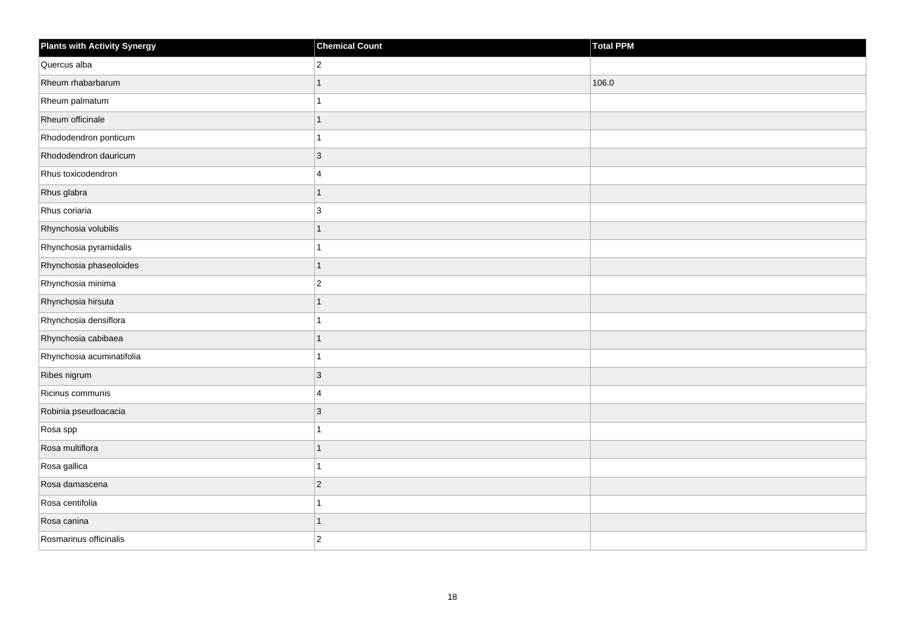| <b>Plants with Activity Synergy</b> | <b>Chemical Count</b>   | Total PPM |
|-------------------------------------|-------------------------|-----------|
| Quercus alba                        | $\overline{2}$          |           |
| Rheum rhabarbarum                   | 1                       | 106.0     |
| Rheum palmatum                      |                         |           |
| Rheum officinale                    | 1                       |           |
| Rhododendron ponticum               |                         |           |
| Rhododendron dauricum               | 3                       |           |
| Rhus toxicodendron                  | $\overline{\mathbf{A}}$ |           |
| Rhus glabra                         | 1                       |           |
| Rhus coriaria                       | 3                       |           |
| Rhynchosia volubilis                | 1                       |           |
| Rhynchosia pyramidalis              |                         |           |
| Rhynchosia phaseoloides             | 1                       |           |
| Rhynchosia minima                   | $\overline{c}$          |           |
| Rhynchosia hirsuta                  | 1                       |           |
| Rhynchosia densiflora               |                         |           |
| Rhynchosia cabibaea                 | 1                       |           |
| Rhynchosia acuminatifolia           |                         |           |
| Ribes nigrum                        | $\overline{3}$          |           |
| Ricinus communis                    | 4                       |           |
| Robinia pseudoacacia                | 3                       |           |
| Rosa spp                            |                         |           |
| Rosa multiflora                     | 1                       |           |
| Rosa gallica                        |                         |           |
| Rosa damascena                      | $\overline{2}$          |           |
| Rosa centifolia                     | 1                       |           |
| Rosa canina                         | 1                       |           |
| Rosmarinus officinalis              | $\overline{2}$          |           |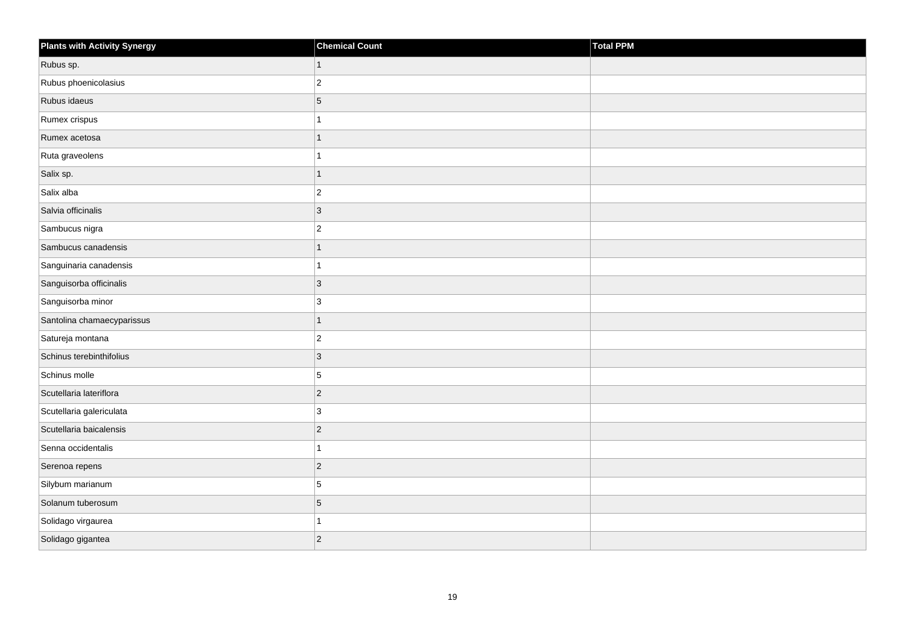| Plants with Activity Synergy | <b>Chemical Count</b> | Total PPM |
|------------------------------|-----------------------|-----------|
| Rubus sp.                    | $\mathbf{1}$          |           |
| Rubus phoenicolasius         | $ 2\rangle$           |           |
| Rubus idaeus                 | $\overline{5}$        |           |
| Rumex crispus                | 1                     |           |
| Rumex acetosa                | $\mathbf{1}$          |           |
| Ruta graveolens              | 1                     |           |
| Salix sp.                    | $\mathbf{1}$          |           |
| Salix alba                   | $ 2\rangle$           |           |
| Salvia officinalis           | $ 3\rangle$           |           |
| Sambucus nigra               | $\vert$ <sub>2</sub>  |           |
| Sambucus canadensis          | $\mathbf{1}$          |           |
| Sanguinaria canadensis       | $\mathbf{1}$          |           |
| Sanguisorba officinalis      | $ 3\rangle$           |           |
| Sanguisorba minor            | 3                     |           |
| Santolina chamaecyparissus   | 1                     |           |
| Satureja montana             | $ 2\rangle$           |           |
| Schinus terebinthifolius     | 3                     |           |
| Schinus molle                | 5                     |           |
| Scutellaria lateriflora      | $ 2\rangle$           |           |
| Scutellaria galericulata     | 3                     |           |
| Scutellaria baicalensis      | $ 2\rangle$           |           |
| Senna occidentalis           | $\mathbf{1}$          |           |
| Serenoa repens               | $ 2\rangle$           |           |
| Silybum marianum             | 5                     |           |
| Solanum tuberosum            | $\overline{5}$        |           |
| Solidago virgaurea           | 1                     |           |
| Solidago gigantea            | $\overline{2}$        |           |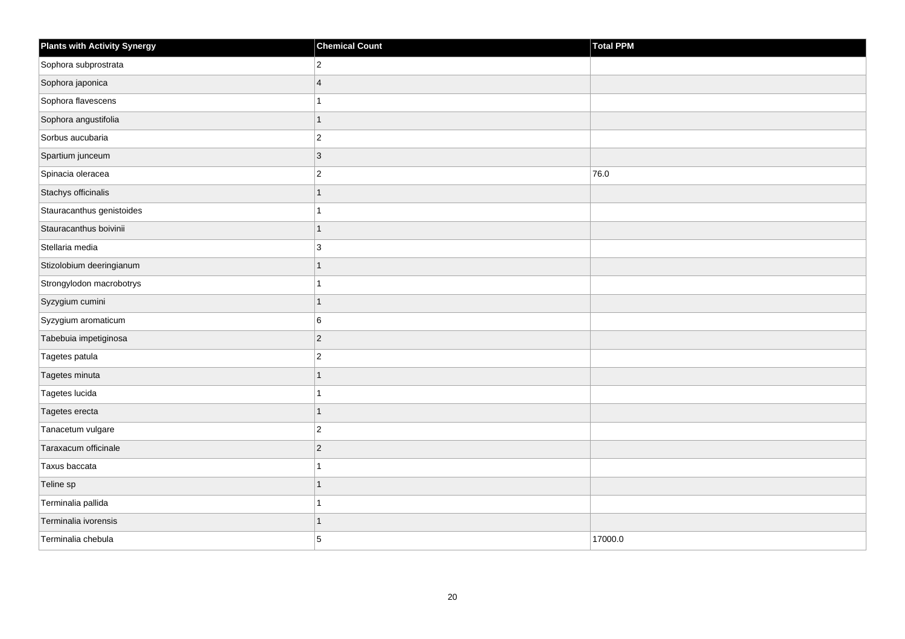| <b>Plants with Activity Synergy</b> | <b>Chemical Count</b> | Total PPM |
|-------------------------------------|-----------------------|-----------|
| Sophora subprostrata                | $\overline{2}$        |           |
| Sophora japonica                    | $\overline{4}$        |           |
| Sophora flavescens                  |                       |           |
| Sophora angustifolia                | 1                     |           |
| Sorbus aucubaria                    | $\overline{c}$        |           |
| Spartium junceum                    | 3                     |           |
| Spinacia oleracea                   | $\overline{2}$        | 76.0      |
| Stachys officinalis                 | 1                     |           |
| Stauracanthus genistoides           |                       |           |
| Stauracanthus boivinii              | $\overline{1}$        |           |
| Stellaria media                     | 3                     |           |
| Stizolobium deeringianum            | 1                     |           |
| Strongylodon macrobotrys            | 1                     |           |
| Syzygium cumini                     | 1                     |           |
| Syzygium aromaticum                 | 6                     |           |
| Tabebuia impetiginosa               | $\overline{2}$        |           |
| Tagetes patula                      | $\overline{2}$        |           |
| Tagetes minuta                      | 1                     |           |
| Tagetes lucida                      | 1                     |           |
| Tagetes erecta                      | 1                     |           |
| Tanacetum vulgare                   | $\overline{c}$        |           |
| Taraxacum officinale                | $\overline{2}$        |           |
| Taxus baccata                       |                       |           |
| Teline sp                           |                       |           |
| Terminalia pallida                  | 1                     |           |
| Terminalia ivorensis                | 1                     |           |
| Terminalia chebula                  | 5                     | 17000.0   |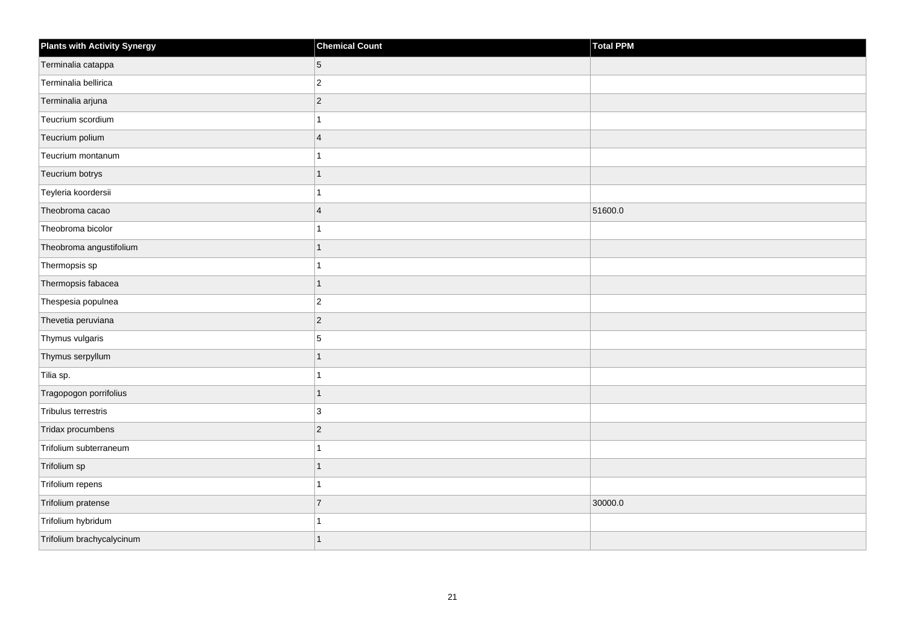| <b>Plants with Activity Synergy</b> | <b>Chemical Count</b>   | <b>Total PPM</b> |
|-------------------------------------|-------------------------|------------------|
| Terminalia catappa                  | 5                       |                  |
| Terminalia bellirica                | $\overline{2}$          |                  |
| Terminalia arjuna                   | $\overline{2}$          |                  |
| Teucrium scordium                   |                         |                  |
| Teucrium polium                     | $\overline{\mathbf{A}}$ |                  |
| Teucrium montanum                   |                         |                  |
| Teucrium botrys                     | 1                       |                  |
| Teyleria koordersii                 |                         |                  |
| Theobroma cacao                     | $\overline{4}$          | 51600.0          |
| Theobroma bicolor                   |                         |                  |
| Theobroma angustifolium             | 1                       |                  |
| Thermopsis sp                       |                         |                  |
| Thermopsis fabacea                  | $\overline{1}$          |                  |
| Thespesia populnea                  | $\overline{2}$          |                  |
| Thevetia peruviana                  | $\vert$ 2               |                  |
| Thymus vulgaris                     | 5                       |                  |
| Thymus serpyllum                    | 1                       |                  |
| Tilia sp.                           |                         |                  |
| Tragopogon porrifolius              | $\overline{1}$          |                  |
| Tribulus terrestris                 | 3                       |                  |
| Tridax procumbens                   | $\overline{2}$          |                  |
| Trifolium subterraneum              | 1                       |                  |
| Trifolium sp                        | 1                       |                  |
| Trifolium repens                    |                         |                  |
| Trifolium pratense                  | $\overline{7}$          | 30000.0          |
| Trifolium hybridum                  |                         |                  |
| Trifolium brachycalycinum           |                         |                  |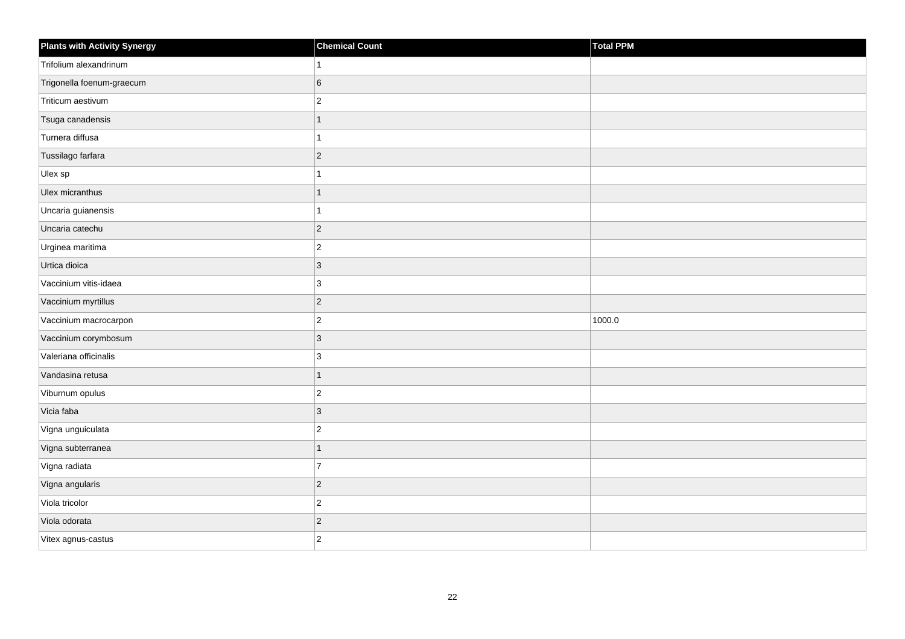| <b>Plants with Activity Synergy</b> | <b>Chemical Count</b> | Total PPM |
|-------------------------------------|-----------------------|-----------|
| Trifolium alexandrinum              |                       |           |
| Trigonella foenum-graecum           | 6                     |           |
| Triticum aestivum                   | $\overline{a}$        |           |
| Tsuga canadensis                    | 1                     |           |
| Turnera diffusa                     |                       |           |
| Tussilago farfara                   | $\overline{2}$        |           |
| Ulex sp                             |                       |           |
| Ulex micranthus                     | 1                     |           |
| Uncaria guianensis                  |                       |           |
| Uncaria catechu                     | $\overline{2}$        |           |
| Urginea maritima                    | $\overline{c}$        |           |
| Urtica dioica                       | 3                     |           |
| Vaccinium vitis-idaea               | 3                     |           |
| Vaccinium myrtillus                 | $\overline{2}$        |           |
| Vaccinium macrocarpon               | $\overline{2}$        | 1000.0    |
| Vaccinium corymbosum                | $\overline{3}$        |           |
| Valeriana officinalis               | 3                     |           |
| Vandasina retusa                    | 1                     |           |
| Viburnum opulus                     | $\overline{c}$        |           |
| Vicia faba                          | 3                     |           |
| Vigna unguiculata                   | $\overline{2}$        |           |
| Vigna subterranea                   | $\overline{1}$        |           |
| Vigna radiata                       | $\overline{7}$        |           |
| Vigna angularis                     | $ 2\rangle$           |           |
| Viola tricolor                      | $\overline{c}$        |           |
| Viola odorata                       | $\overline{2}$        |           |
| Vitex agnus-castus                  | $\overline{2}$        |           |